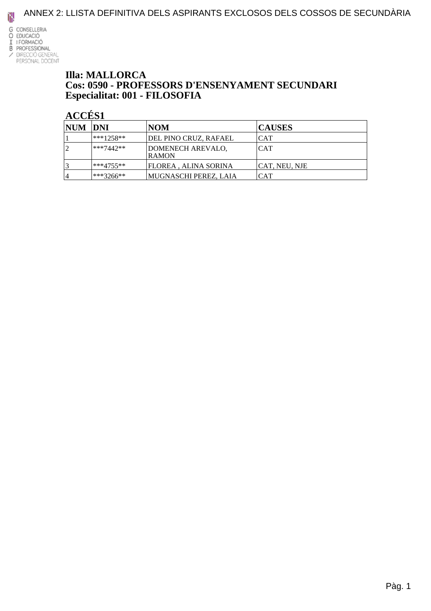

#### **Illa: MALLORCA** Cos: 0590 - PROFESSORS D'ENSENYAMENT SECUNDARI Especialitat: 001 - FILOSOFIA

### ACCÉS<sub>1</sub>

| NUM DNI |             | <b>NOM</b>                        | <b>CAUSES</b> |
|---------|-------------|-----------------------------------|---------------|
|         | $***1258**$ | DEL PINO CRUZ, RAFAEL             | ICAT          |
| 12      | $***7442**$ | DOMENECH AREVALO,<br><b>RAMON</b> | <b>CAT</b>    |
|         | $***4755**$ | FLOREA , ALINA SORINA             | CAT, NEU, NJE |
| 4       | ***3266**   | MUGNASCHI PEREZ, LAIA             | ICAT          |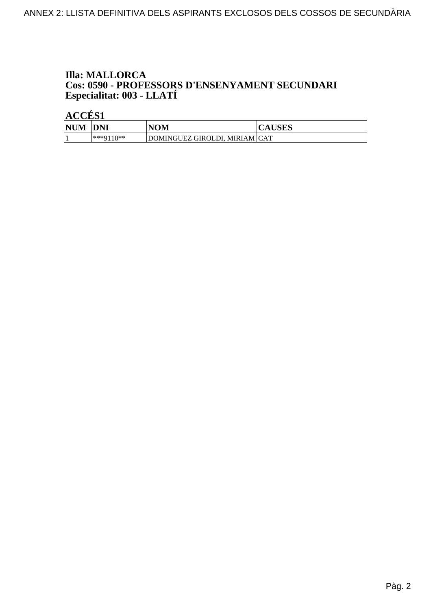# **Illa: MALLORCA Cos: 0590 - PROFESSORS D'ENSENYAMENT SECUNDARI<br>Especialitat: 003 - LLATÍ**

|            | ---------  |                                 |               |  |
|------------|------------|---------------------------------|---------------|--|
| <b>NUM</b> | <b>DNI</b> | NOM                             | <b>CAUSES</b> |  |
|            | ***0110**  | DOMINGUEZ GIROLDI, MIRIAM   CAT |               |  |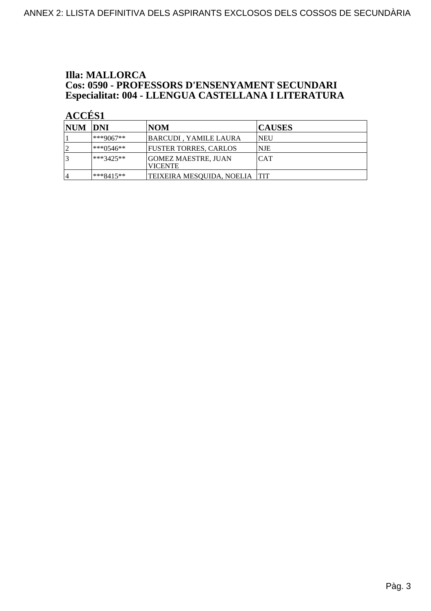## **Illa: MALLORCA Cos: 0590 - PROFESSORS D'ENSENYAMENT SECUNDARI<br>Especialitat: 004 - LLENGUA CASTELLANA I LITERATURA**

| <b>NUM DNI</b> |            | NOM                                   | <b>CAUSES</b> |
|----------------|------------|---------------------------------------|---------------|
|                | $**9067**$ | BARCUDI , YAMILE LAURA                | <b>NEU</b>    |
|                | l***0546** | FUSTER TORRES, CARLOS                 | <b>NJE</b>    |
|                | ***3425**  | GOMEZ MAESTRE, JUAN<br><b>VICENTE</b> | <b>CAT</b>    |
| 14             | ***8415**  | TEIXEIRA MESOUIDA, NOELIA TIT         |               |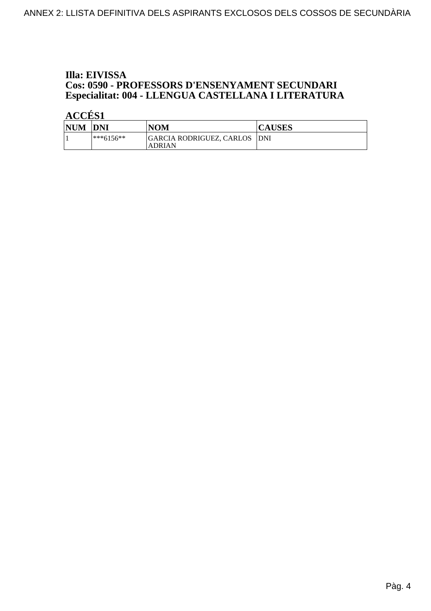#### Illa: EIVISSA **Cos: 0590 - PROFESSORS D'ENSENYAMENT SECUNDARI** Especialitat: 004 - LLENGUA CASTELLANA I LITERATURA

| <b>NUM</b> | <b>DNI</b>  | NOM                                            | <b>CAUSES</b> |
|------------|-------------|------------------------------------------------|---------------|
|            | $***6156**$ | GARCIA RODRIGUEZ, CARLOS  DNI<br><b>ADRIAN</b> |               |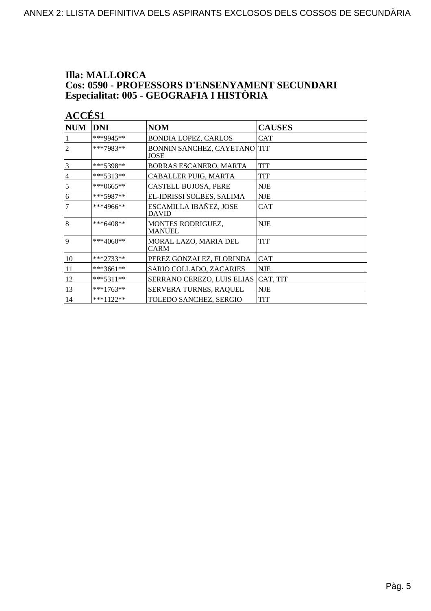## **Illa: MALLORCA Cos: 0590 - PROFESSORS D'ENSENYAMENT SECUNDARI<br>Especialitat: 005 - GEOGRAFIA I HISTÒRIA**

| ı. |  |
|----|--|
|    |  |

| <b>NUM</b>     | <b>DNI</b>  | <b>NOM</b>                             | <b>CAUSES</b> |
|----------------|-------------|----------------------------------------|---------------|
|                | ***9945**   | <b>BONDIA LOPEZ, CARLOS</b>            | CAT           |
| $\overline{2}$ | ***7983**   | BONNIN SANCHEZ, CAYETANO TIT<br>JOSE   |               |
| $\overline{3}$ | ***5398**   | BORRAS ESCANERO, MARTA                 | <b>TIT</b>    |
| $\overline{4}$ | $***5313**$ | CABALLER PUIG, MARTA                   | <b>TIT</b>    |
| 5              | ***0665**   | <b>CASTELL BUJOSA, PERE</b>            | <b>NJE</b>    |
| 6              | $***5987**$ | EL-IDRISSI SOLBES, SALIMA              | <b>NJE</b>    |
| $\overline{7}$ | ***4966**   | ESCAMILLA IBAÑEZ, JOSE<br><b>DAVID</b> | <b>CAT</b>    |
| 8              | $***6408**$ | MONTES RODRIGUEZ,<br><b>MANUEL</b>     | <b>NJE</b>    |
| <b>9</b>       | ***4060**   | MORAL LAZO, MARIA DEL<br><b>CARM</b>   | <b>TIT</b>    |
| 10             | $***2733**$ | PEREZ GONZALEZ, FLORINDA               | <b>CAT</b>    |
| 11             | ***3661**   | SARIO COLLADO, ZACARIES                | <b>NJE</b>    |
| 12             | $***5311**$ | SERRANO CEREZO, LUIS ELIAS             | CAT, TIT      |
| 13             | ***1763**   | SERVERA TURNES, RAQUEL                 | <b>NJE</b>    |
| 14             | $***1122**$ | TOLEDO SANCHEZ, SERGIO                 | <b>TIT</b>    |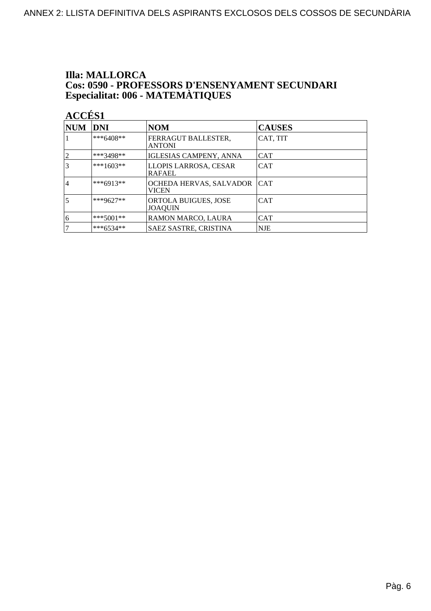## **Illa: MALLORCA Cos: 0590 - PROFESSORS D'ENSENYAMENT SECUNDARI<br>Especialitat: 006 - MATEMÀTIQUES**

| Ľ |  |
|---|--|
|   |  |

| <b>NUM</b>     | DNI         | <b>NOM</b>                             | <b>CAUSES</b> |
|----------------|-------------|----------------------------------------|---------------|
|                | $***6408**$ | FERRAGUT BALLESTER,<br><b>ANTONI</b>   | CAT, TIT      |
|                | ***3498**   | IGLESIAS CAMPENY, ANNA                 | <b>CAT</b>    |
|                | $***1603**$ | LLOPIS LARROSA, CESAR<br><b>RAFAEL</b> | <b>CAT</b>    |
| $\overline{4}$ | $***6913**$ | OCHEDA HERVAS, SALVADOR<br>VICEN       | <b>CAT</b>    |
| 5              | ***9627**   | ORTOLA BUIGUES, JOSE<br><b>JOAOUIN</b> | <b>CAT</b>    |
| 6              | $***5001**$ | RAMON MARCO, LAURA                     | <b>CAT</b>    |
|                | ***6534**   | SAEZ SASTRE, CRISTINA                  | <b>NJE</b>    |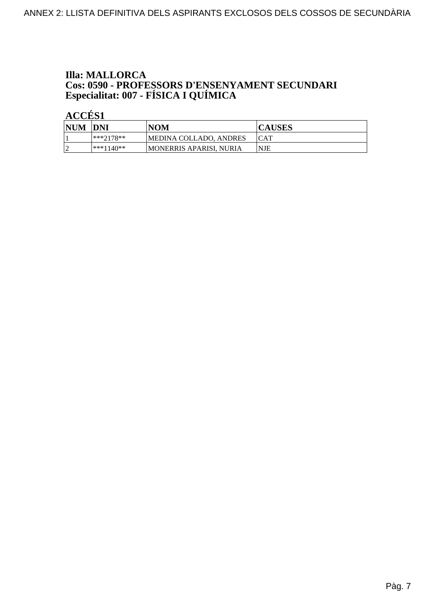## **Illa: MALLORCA Cos: 0590 - PROFESSORS D'ENSENYAMENT SECUNDARI<br>Especialitat: 007 - FÍSICA I QUÍMICA**

| <b>NUM</b> | <b>IDNI</b> | <b>NOM</b>               | <b>CAUSES</b> |
|------------|-------------|--------------------------|---------------|
|            | $***7178**$ | MEDINA COLLADO, ANDRES   | <b>ICAT</b>   |
|            | $***1140**$ | IMONERRIS APARISI. NURIA | <b>NJE</b>    |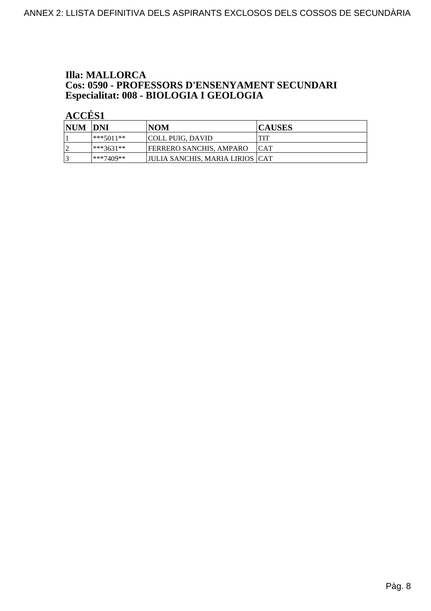## **Illa: MALLORCA Cos: 0590 - PROFESSORS D'ENSENYAMENT SECUNDARI<br>Especialitat: 008 - BIOLOGIA I GEOLOGIA**

| NUM DNI   |             | <b>NOM</b>                        | <b>CAUSES</b> |
|-----------|-------------|-----------------------------------|---------------|
|           | ***5011**   | COLL PUIG, DAVID                  | <b>TIT</b>    |
| $\bigcap$ | $***3631**$ | <b>FERRERO SANCHIS, AMPARO</b>    | <b>ICAT</b>   |
|           | ***7409**   | JJULIA SANCHIS. MARIA LIRIOS  CAT |               |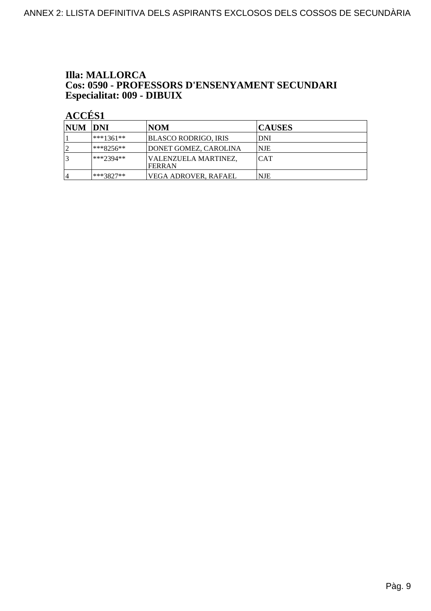#### **Illa: MALLORCA** Cos: 0590 - PROFESSORS D'ENSENYAMENT SECUNDARI Especialitat: 009 - DIBUIX

| <b>NUM DNI</b> |               | NOM                             | <b>CAUSES</b> |
|----------------|---------------|---------------------------------|---------------|
|                | $ ***1361***$ | BLASCO RODRIGO, IRIS            | DNI           |
|                | ***8256**     | DONET GOMEZ, CAROLINA           | <b>NJE</b>    |
|                | ***2394**     | VALENZUELA MARTINEZ,<br>IFERRAN | <b>CAT</b>    |
| 4              | ***3827**     | VEGA ADROVER. RAFAEL            | <b>NJE</b>    |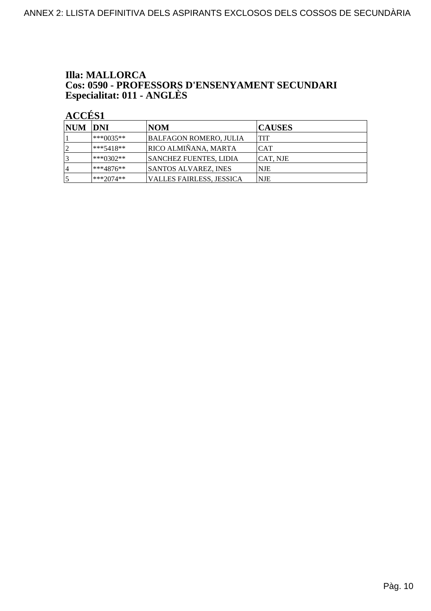## **Illa: MALLORCA Cos: 0590 - PROFESSORS D'ENSENYAMENT SECUNDARI<br>Especialitat: 011 - ANGLÈS**

| <b>NUM DNI</b> |               | NOM                      | <b>CAUSES</b> |
|----------------|---------------|--------------------------|---------------|
|                | ***0035**     | BALFAGON ROMERO, JULIA   | <b>TIT</b>    |
|                | $ ***5418***$ | RICO ALMIÑANA, MARTA     | <b>CAT</b>    |
|                | ***0302**     | SANCHEZ FUENTES, LIDIA   | CAT. NJE      |
| 14             | ***4876**     | SANTOS ALVAREZ, INES     | <b>NJE</b>    |
|                | $ ***2074***$ | VALLES FAIRLESS, JESSICA | NJE           |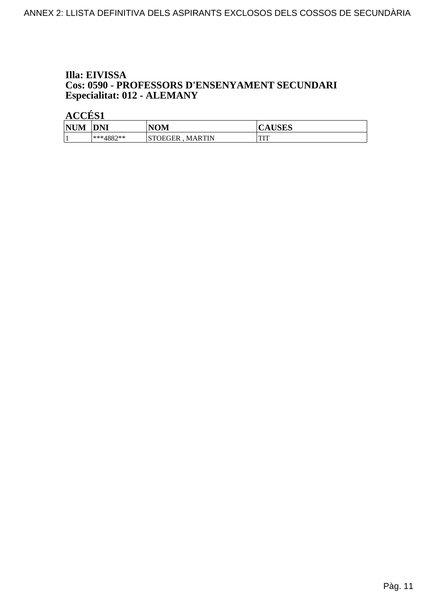#### Illa: EIVISSA Cos: 0590 - PROFESSORS D'ENSENYAMENT SECUNDARI Especialitat: 012 - ALEMANY

| $\bf N\bf I\bf N'$<br>WL<br>⋯ | NNT<br><b>DIAI</b>   | NOM                                         | TIATIA<br>AUDLA |
|-------------------------------|----------------------|---------------------------------------------|-----------------|
|                               | 1887**<br>י ⊿80+ ×** | OEGER<br><b>MARTIN</b><br>$T$ $T$ $T$<br>ມ⊥ | mm<br>          |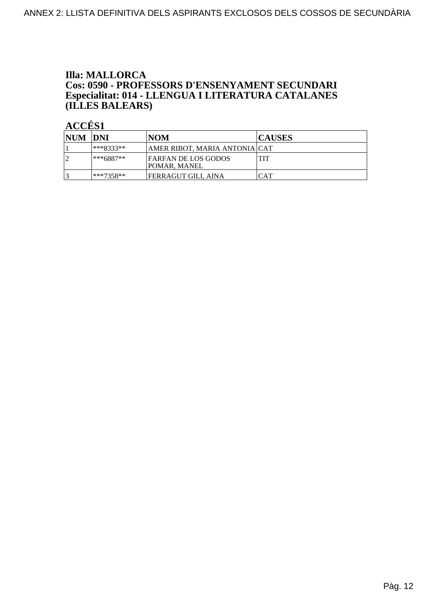#### **Illa: MALLORCA** Cos: 0590 - PROFESSORS D'ENSENYAMENT SECUNDARI Especialitat: 014 - LLENGUA I LITERATURA CATALANES (ILLES BALEARS)

| <b>NUM DNI</b> |           | NOM                                               | <b>CAUSES</b> |
|----------------|-----------|---------------------------------------------------|---------------|
|                | ***8333** | AMER RIBOT. MARIA ANTONIA CAT                     |               |
|                | ***6887** | <b>FARFAN DE LOS GODOS</b><br><b>POMAR, MANEL</b> | <b>TIT</b>    |
|                | ***7358** | FERRAGUT GILI. AINA                               | CAT           |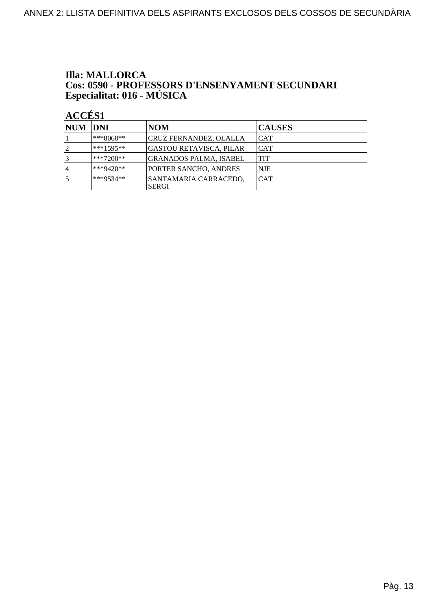# **Illa: MALLORCA Cos: 0590 - PROFESSORS D'ENSENYAMENT SECUNDARI<br>Especialitat: 016 - MÚSICA**

| NUM DNI |               | NOM                                   | <b>CAUSES</b> |
|---------|---------------|---------------------------------------|---------------|
|         | ***8060**     | CRUZ FERNANDEZ, OLALLA                | ICAT          |
|         | $ ***1595***$ | GASTOU RETAVISCA, PILAR               | ICAT          |
|         | $**7200**$    | GRANADOS PALMA, ISABEL                | ITIT          |
| 4       | $ ***9420**$  | PORTER SANCHO, ANDRES                 | <b>NJE</b>    |
|         | ***9534**     | SANTAMARIA CARRACEDO.<br><b>SERGI</b> | ICAT          |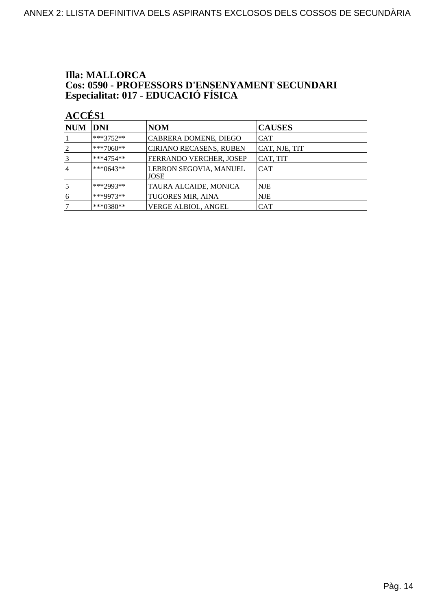# **Illa: MALLORCA Cos: 0590 - PROFESSORS D'ENSENYAMENT SECUNDARI<br>Especialitat: 017 - EDUCACIÓ FÍSICA**

| NUM | <b>DNI</b>  | <b>NOM</b>                     | <b>CAUSES</b> |
|-----|-------------|--------------------------------|---------------|
|     | $***3752**$ | CABRERA DOMENE, DIEGO          | <b>CAT</b>    |
|     | $***7060**$ | CIRIANO RECASENS, RUBEN        | CAT, NJE, TIT |
| 3   | $***4754**$ | FERRANDO VERCHER, JOSEP        | CAT, TIT      |
| 4   | ***0643**   | LEBRON SEGOVIA, MANUEL<br>JOSE | <b>CAT</b>    |
| 5   | ***2993**   | TAURA ALCAIDE, MONICA          | <b>NJE</b>    |
| 16  | ***9973**   | <b>TUGORES MIR, AINA</b>       | <b>NJE</b>    |
|     | $***0380**$ | VERGE ALBIOL, ANGEL            | CAT           |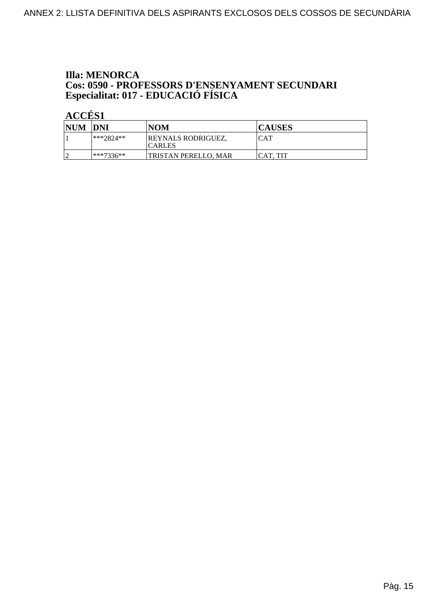## **Illa: MENORCA Cos: 0590 - PROFESSORS D'ENSENYAMENT SECUNDARI<br>Especialitat: 017 - EDUCACIÓ FÍSICA**

| <b>NUM</b> | <b>DNI</b>    | <b>NOM</b>                          | <b>CAUSES</b> |
|------------|---------------|-------------------------------------|---------------|
|            | $ ***2824***$ | REYNALS RODRIGUEZ,<br><b>CARLES</b> | CAT           |
| $\sqrt{2}$ | ***7336**     | TRISTAN PERELLO. MAR                | ICAT. TIT     |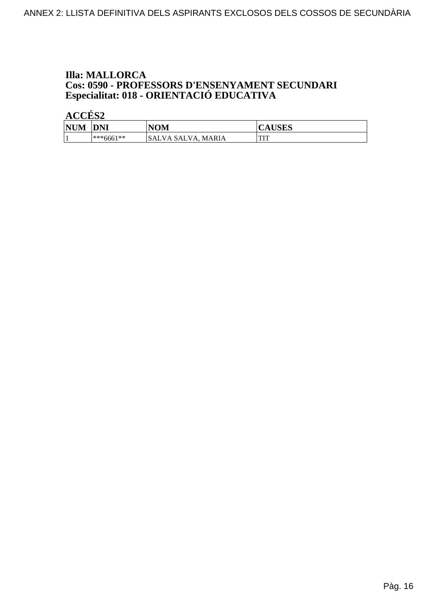## **Illa: MALLORCA Cos: 0590 - PROFESSORS D'ENSENYAMENT SECUNDARI<br>Especialitat: 018 - ORIENTACIÓ EDUCATIVA**

| <b>NUM</b> | <b>DNI</b>  | <b>NOM</b>                         | <b>CAUSES</b>  |
|------------|-------------|------------------------------------|----------------|
|            | $***6661**$ | <b>MARIA</b><br>.SALV<br>VA SALVA. | <b>THT</b><br> |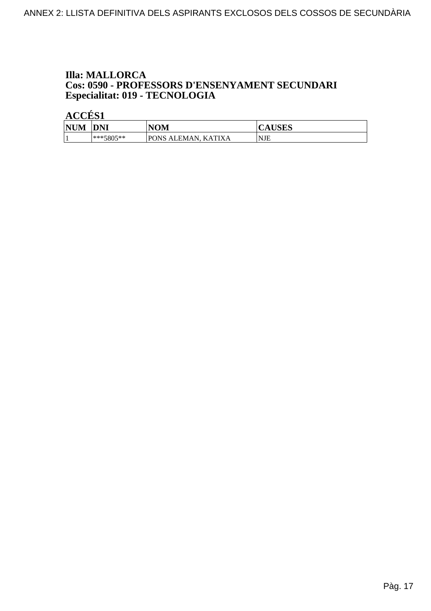## **Illa: MALLORCA Cos: 0590 - PROFESSORS D'ENSENYAMENT SECUNDARI<br>Especialitat: 019 - TECNOLOGIA**

| NHM<br>'N | <b>DNI</b>    | NOM                                                      | ם הדמי<br>л<br><b>AUSLS</b> |
|-----------|---------------|----------------------------------------------------------|-----------------------------|
|           | $ ***5805***$ | <b>PONS</b><br>TIV<br>. A<br>ALEMAN<br>$\Lambda$ ''<br>к | <b>NJE</b>                  |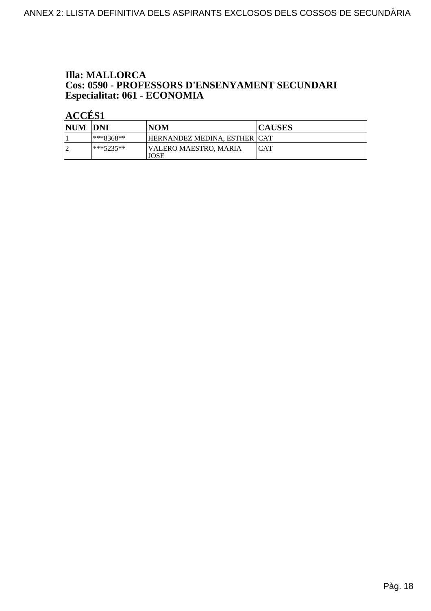## **Illa: MALLORCA Cos: 0590 - PROFESSORS D'ENSENYAMENT SECUNDARI<br>Especialitat: 061 - ECONOMIA**

| <b>NUM</b> | <b>DNI</b>  | <b>NOM</b>                    | <b>CAUSES</b> |
|------------|-------------|-------------------------------|---------------|
|            | $***8368**$ | HERNANDEZ MEDINA, ESTHER ICAT |               |
|            | $***5235**$ | VALERO MAESTRO, MARIA<br>JOSE | ICAT          |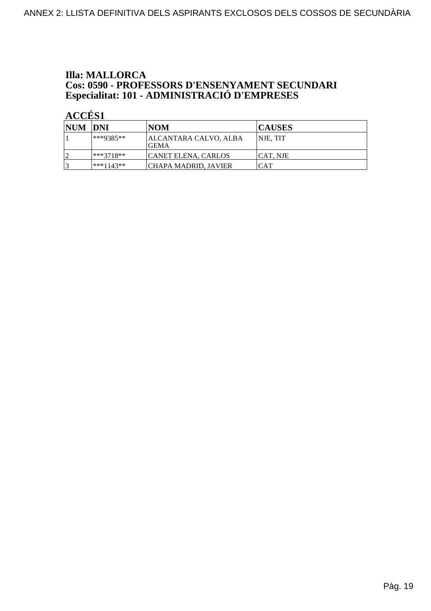## **Illa: MALLORCA Cos: 0590 - PROFESSORS D'ENSENYAMENT SECUNDARI<br>Especialitat: 101 - ADMINISTRACIÓ D'EMPRESES**

| NUM DNI |              | INOM                           | <b>CAUSES</b>   |
|---------|--------------|--------------------------------|-----------------|
|         | $**9385**$   | ALCANTARA CALVO, ALBA<br>IGEMA | <b>NJE, TIT</b> |
| 10      | ***3718**    | <b>CANET ELENA, CARLOS</b>     | ICAT. NJE       |
| 3       | $ ***1143**$ | ICHAPA MADRID. JAVIER          | CAT             |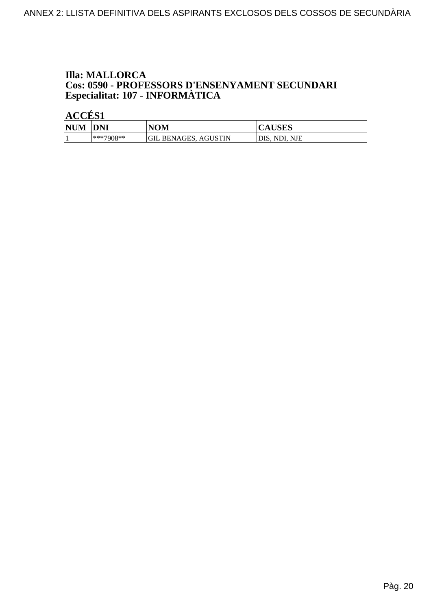## **Illa: MALLORCA Cos: 0590 - PROFESSORS D'ENSENYAMENT SECUNDARI<br>Especialitat: 107 - INFORMÀTICA**

| <b>NUM</b> | <b>DNI</b> | NOM                  | <b>CAUSES</b> |
|------------|------------|----------------------|---------------|
|            | ***7908**  | GIL BENAGES, AGUSTIN | DIS. NDI. NJE |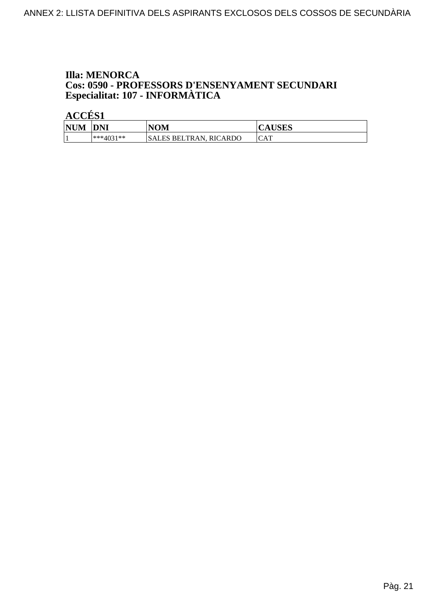#### **Illa: MENORCA** Cos: 0590 - PROFESSORS D'ENSENYAMENT SECUNDARI Especialitat: 107 - INFORMÀTICA

| <b>NUM</b> | <b>DNI</b>      | <b>NOM</b>                     | $T$ CITC $\sim$<br>AUSLS |
|------------|-----------------|--------------------------------|--------------------------|
|            | $*^{***}4031**$ | SALES BELTRAN.<br>RIC<br>CARDO | CAT                      |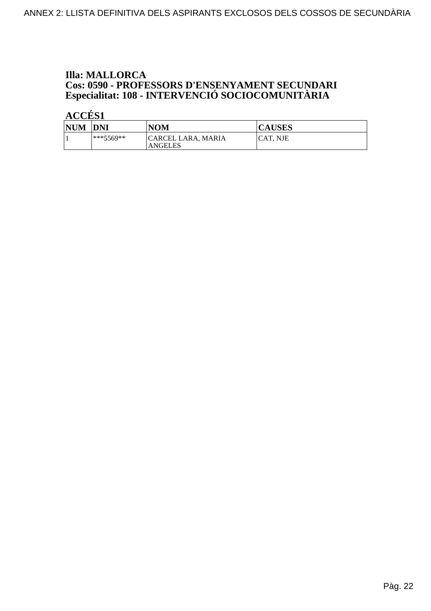## **Illa: MALLORCA Cos: 0590 - PROFESSORS D'ENSENYAMENT SECUNDARI<br>Especialitat: 108 - INTERVENCIÓ SOCIOCOMUNITÀRIA**

| <b>NUM</b> | <b>DNI</b>  | <b>NOM</b>                           | <b>CAUSES</b>   |
|------------|-------------|--------------------------------------|-----------------|
|            | $***5569**$ | CARCEL LARA, MARIA<br><b>ANGELES</b> | <b>CAT. NJE</b> |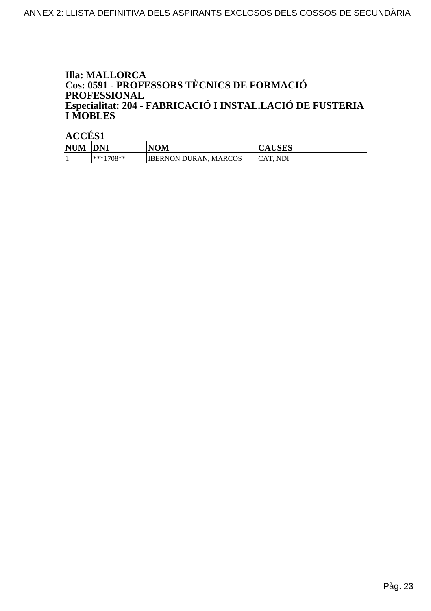#### **Illa: MALLORCA** Cos: 0591 - PROFESSORS TÈCNICS DE FORMACIÓ **PROFESSIONAL** Especialitat: 204 - FABRICACIÓ I INSTAL.LACIÓ DE FUSTERIA **I MOBLES**

| <b>NUM</b> | <b>DNI</b>   | <b>NOM</b>                   | <b>CAUSES</b>   |
|------------|--------------|------------------------------|-----------------|
|            | $ ***1708**$ | <b>IBERNON DURAN, MARCOS</b> | <b>CAT. NDI</b> |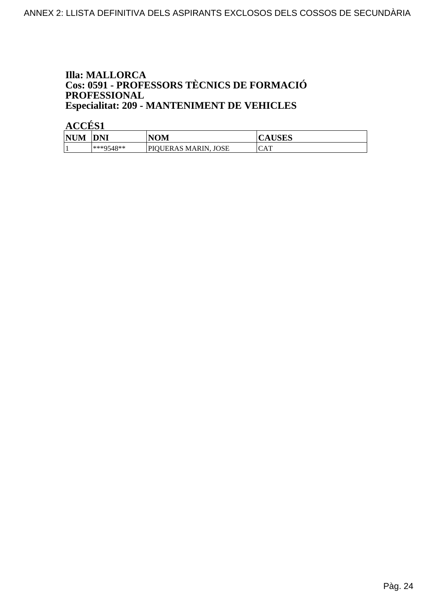#### **Illa: MALLORCA** Cos: 0591 - PROFESSORS TÈCNICS DE FORMACIÓ PROFESSIONAL **Especialitat: 209 - MANTENIMENT DE VEHICLES**

| <b>NUM</b> | DNI       | NOM                     | AUSLS      |
|------------|-----------|-------------------------|------------|
|            | ***9548** | JOSE<br>PIOUERAS MARIN. | <b>CAT</b> |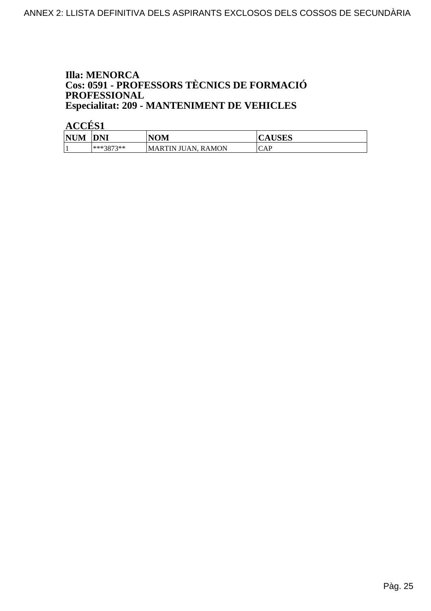#### **Illa: MENORCA** Cos: 0591 - PROFESSORS TÈCNICS DE FORMACIÓ PROFESSIONAL **Especialitat: 209 - MANTENIMENT DE VEHICLES**

| <b>NUM</b> | DNI       | <b>NOM</b>                   | <b>TICTO</b><br>AUDLO |
|------------|-----------|------------------------------|-----------------------|
|            | ***3873** | . RAMON<br>ΆN<br>IMARTIN IU. | CAP                   |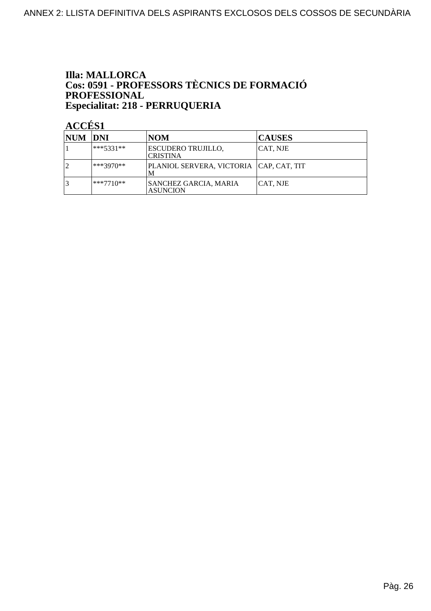#### **Illa: MALLORCA** Cos: 0591 - PROFESSORS TÈCNICS DE FORMACIÓ PROFESSIONAL Especialitat: 218 - PERRUQUERIA

| NUM  DNI |           | <b>NOM</b>                                      | <b>CAUSES</b> |
|----------|-----------|-------------------------------------------------|---------------|
|          | ***5331** | <b>ESCUDERO TRUJILLO,</b><br><b>CRISTINA</b>    | CAT, NJE      |
|          | ***3970** | PLANIOL SERVERA, VICTORIA   CAP, CAT, TIT       |               |
|          | ***7710** | <b>SANCHEZ GARCIA, MARIA</b><br><b>ASUNCION</b> | CAT, NJE      |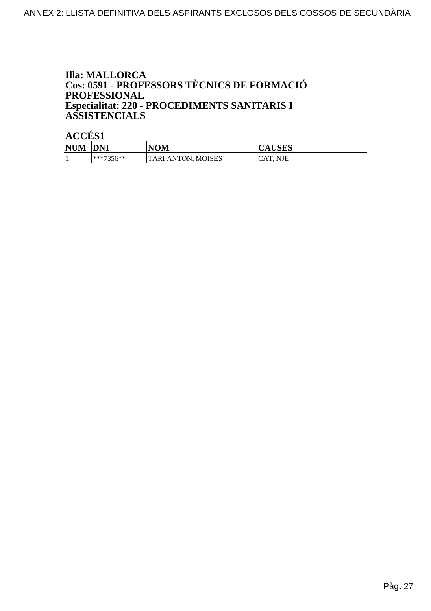#### **Illa: MALLORCA** Cos: 0591 - PROFESSORS TÈCNICS DE FORMACIÓ **PROFESSIONAL** Especialitat: 220 - PROCEDIMENTS SANITARIS I **ASSISTENCIALS**

| <b>NUM</b> | <b>DNI</b> | <b>NOM</b>            | <b>AUSES</b> |
|------------|------------|-----------------------|--------------|
|            | ***7356**  | ANTON, MOISES<br>TARI | CAT. NJE     |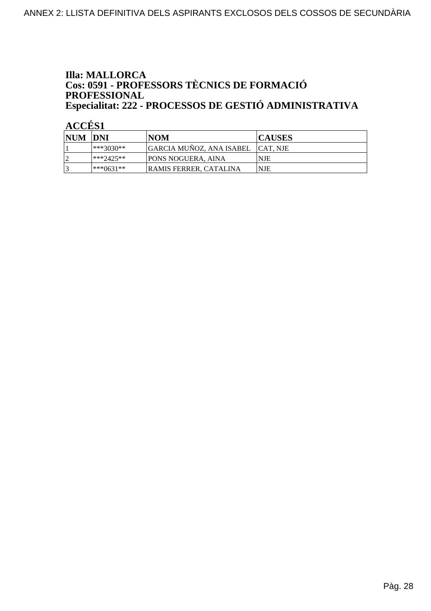#### **Illa: MALLORCA** Cos: 0591 - PROFESSORS TÈCNICS DE FORMACIÓ PROFESSIONAL Especialitat: 222 - PROCESSOS DE GESTIÓ ADMINISTRATIVA

| NUM DNI |               | INOM                           | <b>CAUSES</b> |
|---------|---------------|--------------------------------|---------------|
|         | ***3030**     | GARCIA MUÑOZ, ANA ISABEL       | ICAT. NJE     |
|         | $ ***2425**$  | <b>PONS NOGUERA, AINA</b>      | <b>NJE</b>    |
|         | $ ***0631***$ | <b>IRAMIS FERRER. CATALINA</b> | <b>NJE</b>    |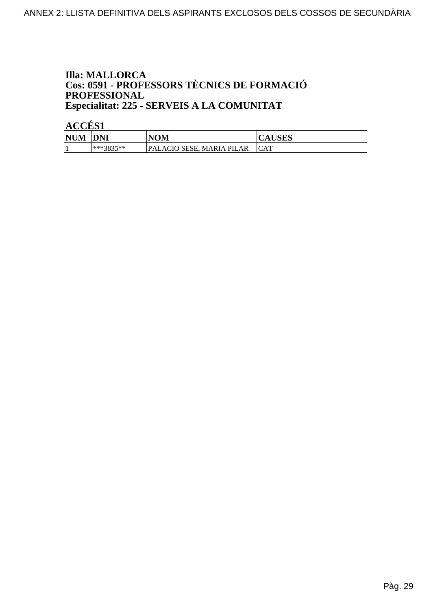#### **Illa: MALLORCA** Cos: 0591 - PROFESSORS TÈCNICS DE FORMACIÓ PROFESSIONAL Especialitat: 225 - SERVEIS A LA COMUNITAT

| <b>NUM</b> | <b>DNI</b> | <b>NOM</b>                          | 'AUSES |
|------------|------------|-------------------------------------|--------|
|            | ***3835**  | PALACIO SESE.<br><b>MARIA PILAR</b> | CAT    |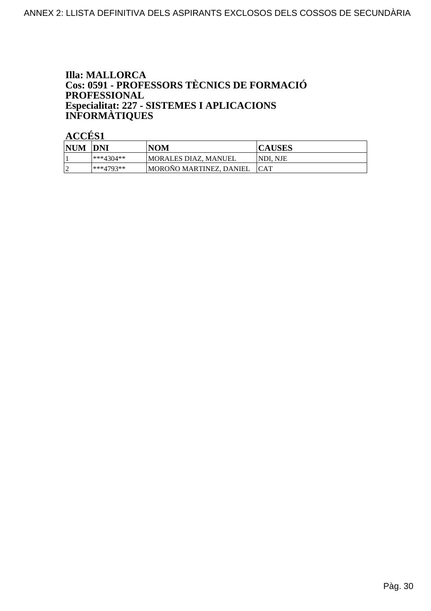### **Illa: MALLORCA** Cos: 0591 - PROFESSORS TÈCNICS DE FORMACIÓ **PROFESSIONAL** Especialitat: 227 - SISTEMES I APLICACIONS<br>INFORMÀTIQUES

| <b>NUM</b> | <b>DNI</b> | <b>NOM</b>              | <b>CAUSES</b>   |
|------------|------------|-------------------------|-----------------|
|            | ***4304**  | MORALES DIAZ. MANUEL    | <b>NDI. NJE</b> |
|            | ***4793**  | MOROÑO MARTINEZ, DANIEL | <b>ICAT</b>     |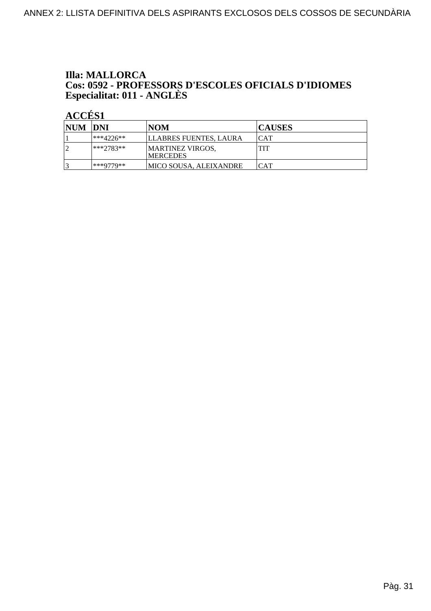# **Illa: MALLORCA** Cos: 0592 - PROFESSORS D'ESCOLES OFICIALS D'IDIOMES<br>Especialitat: 011 - ANGLÈS

| NUM DNI |             | INOM                                        | <b>CAUSES</b>           |
|---------|-------------|---------------------------------------------|-------------------------|
|         | ***4226**   | LLABRES FUENTES, LAURA                      | ICAT                    |
|         | $***2783**$ | <b>MARTINEZ VIRGOS,</b><br><b>IMERCEDES</b> | TIT                     |
|         | ***9779**   | IMICO SOUSA. ALEIXANDRE                     | $\overline{\text{CAT}}$ |